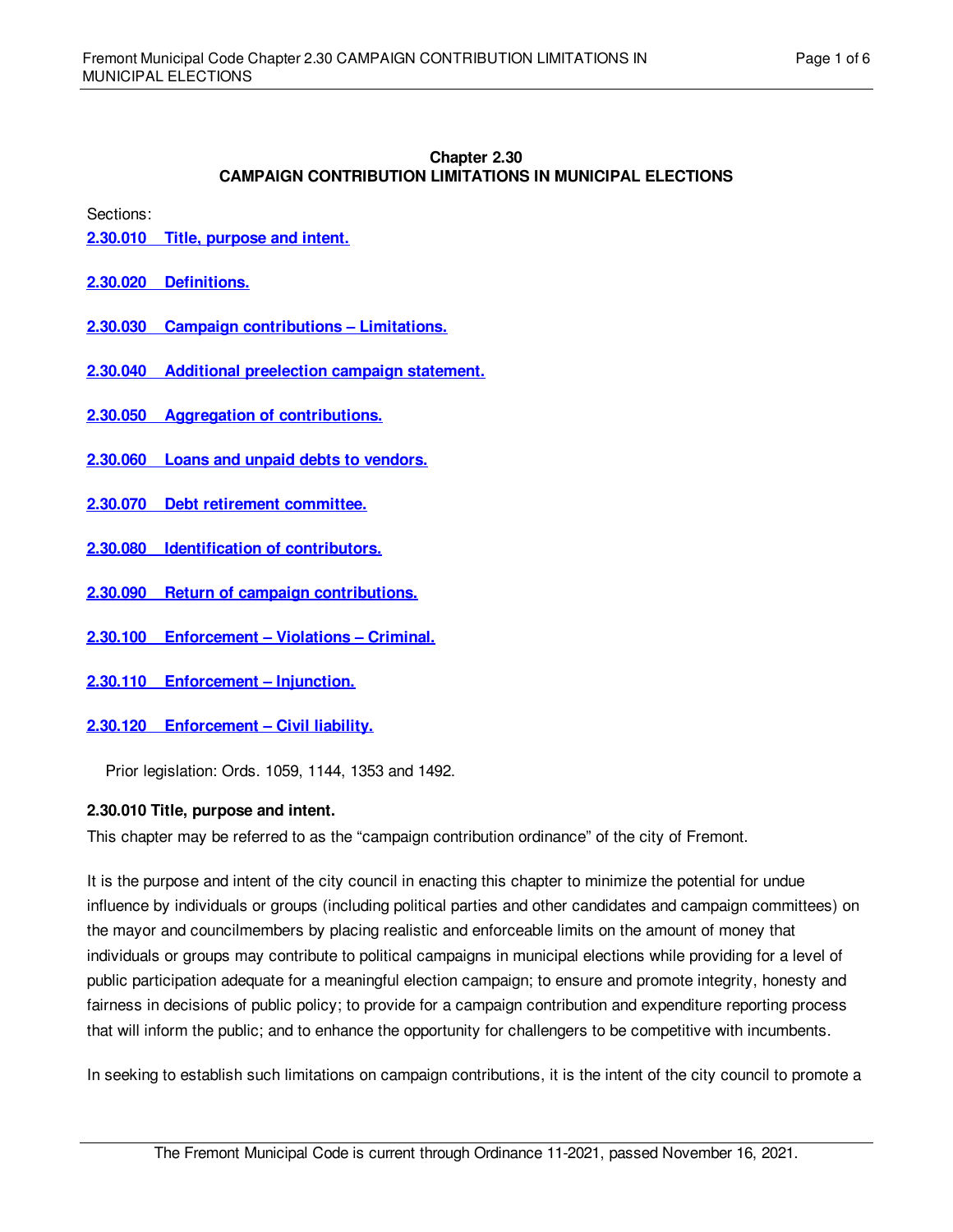#### **Chapter 2.30 CAMPAIGN CONTRIBUTION LIMITATIONS IN MUNICIPAL ELECTIONS**

Sections:

- **2.30.010 Title, [purpose](#page-0-0) and intent.**
- **2.30.020 [Definitions.](#page-1-0)**
- **2.30.030 Campaign [contributions](#page-1-1) – Limitations.**
- **2.30.040 Additional [preelection](#page-2-0) campaign statement.**
- **2.30.050 Aggregation of [contributions.](#page-2-1)**
- **2.30.060 Loans and unpaid debts to [vendors.](#page-2-2)**
- **2.30.070 Debt retirement [committee.](#page-3-0)**
- **2.30.080 [Identification](#page-3-1) of contributors.**
- **2.30.090 Return of campaign [contributions.](#page-3-2)**
- **2.30.100 [Enforcement](#page-3-3) – Violations – Criminal.**
- **2.30.110 [Enforcement](#page-4-0) – Injunction.**
- **2.30.120 [Enforcement](#page-4-1) – Civil liability.**

Prior legislation: Ords. 1059, 1144, 1353 and 1492.

## <span id="page-0-0"></span>**2.30.010 Title, purpose and intent.**

This chapter may be referred to as the "campaign contribution ordinance" of the city of Fremont.

It is the purpose and intent of the city council in enacting this chapter to minimize the potential for undue influence by individuals or groups (including political parties and other candidates and campaign committees) on the mayor and councilmembers by placing realistic and enforceable limits on the amount of money that individuals or groups may contribute to political campaigns in municipal elections while providing for a level of public participation adequate for a meaningful election campaign; to ensure and promote integrity, honesty and fairness in decisions of public policy; to provide for a campaign contribution and expenditure reporting process that will inform the public; and to enhance the opportunity for challengers to be competitive with incumbents.

In seeking to establish such limitations on campaign contributions, it is the intent of the city council to promote a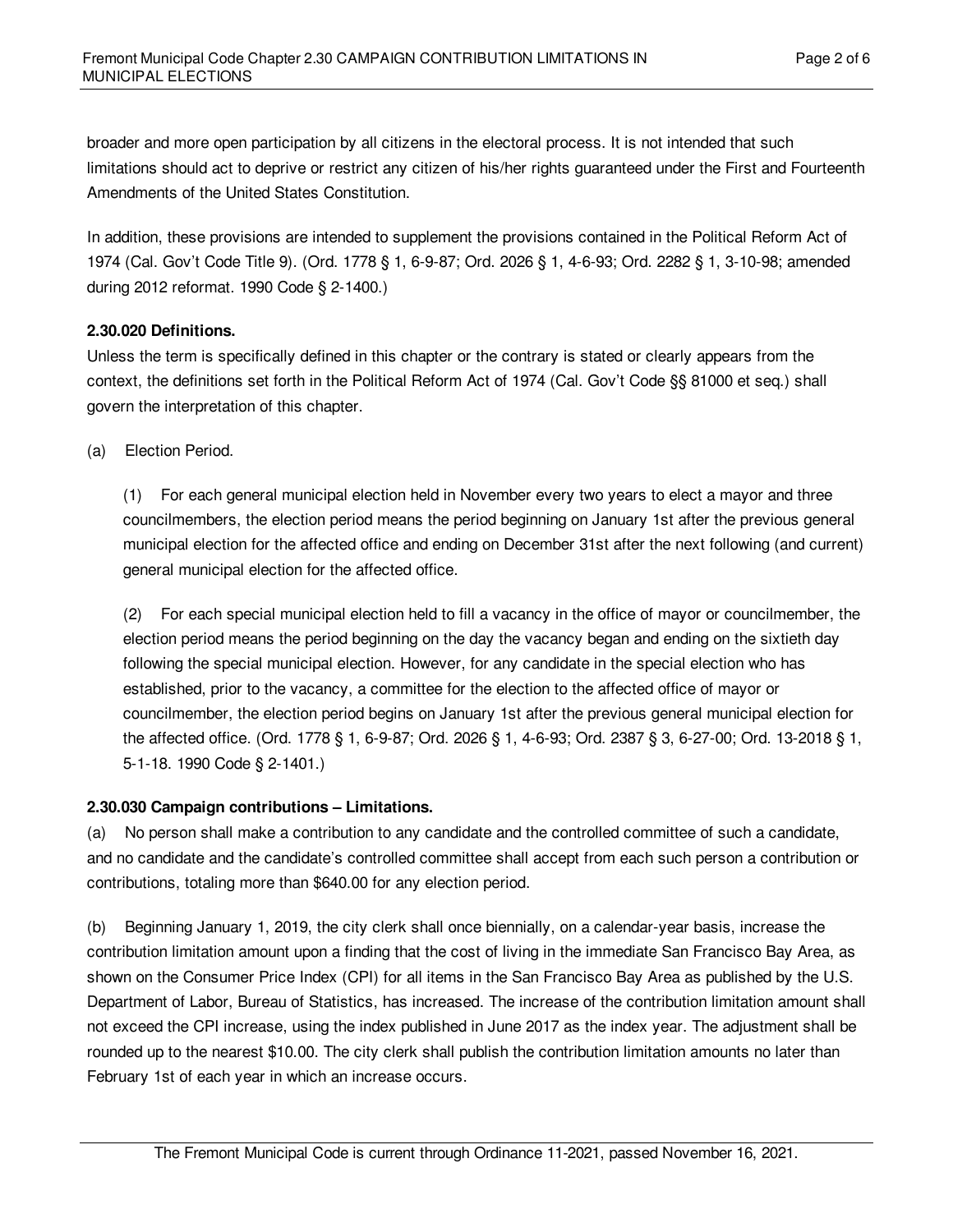broader and more open participation by all citizens in the electoral process. It is not intended that such limitations should act to deprive or restrict any citizen of his/her rights guaranteed under the First and Fourteenth Amendments of the United States Constitution.

In addition, these provisions are intended to supplement the provisions contained in the Political Reform Act of 1974 (Cal. Gov't Code Title 9). (Ord. 1778 § 1, 6-9-87; Ord. 2026 § 1, 4-6-93; Ord. 2282 § 1, 3-10-98; amended during 2012 reformat. 1990 Code § 2-1400.)

# <span id="page-1-0"></span>**2.30.020 Definitions.**

Unless the term is specifically defined in this chapter or the contrary is stated or clearly appears from the context, the definitions set forth in the Political Reform Act of 1974 (Cal. Gov't Code §§ 81000 et seq.) shall govern the interpretation of this chapter.

(a) Election Period.

(1) For each general municipal election held in November every two years to elect a mayor and three councilmembers, the election period means the period beginning on January 1st after the previous general municipal election for the affected office and ending on December 31st after the next following (and current) general municipal election for the affected office.

(2) For each special municipal election held to fill a vacancy in the office of mayor or councilmember, the election period means the period beginning on the day the vacancy began and ending on the sixtieth day following the special municipal election. However, for any candidate in the special election who has established, prior to the vacancy, a committee for the election to the affected office of mayor or councilmember, the election period begins on January 1st after the previous general municipal election for the affected office. (Ord. 1778 § 1, 6-9-87; Ord. 2026 § 1, 4-6-93; Ord. 2387 § 3, 6-27-00; Ord. 13-2018 § 1, 5-1-18. 1990 Code § 2-1401.)

## <span id="page-1-1"></span>**2.30.030 Campaign contributions – Limitations.**

(a) No person shall make a contribution to any candidate and the controlled committee of such a candidate, and no candidate and the candidate's controlled committee shall accept from each such person a contribution or contributions, totaling more than \$640.00 for any election period.

(b) Beginning January 1, 2019, the city clerk shall once biennially, on a calendar-year basis, increase the contribution limitation amount upon a finding that the cost of living in the immediate San Francisco Bay Area, as shown on the Consumer Price Index (CPI) for all items in the San Francisco Bay Area as published by the U.S. Department of Labor, Bureau of Statistics, has increased. The increase of the contribution limitation amount shall not exceed the CPI increase, using the index published in June 2017 as the index year. The adjustment shall be rounded up to the nearest \$10.00. The city clerk shall publish the contribution limitation amounts no later than February 1st of each year in which an increase occurs.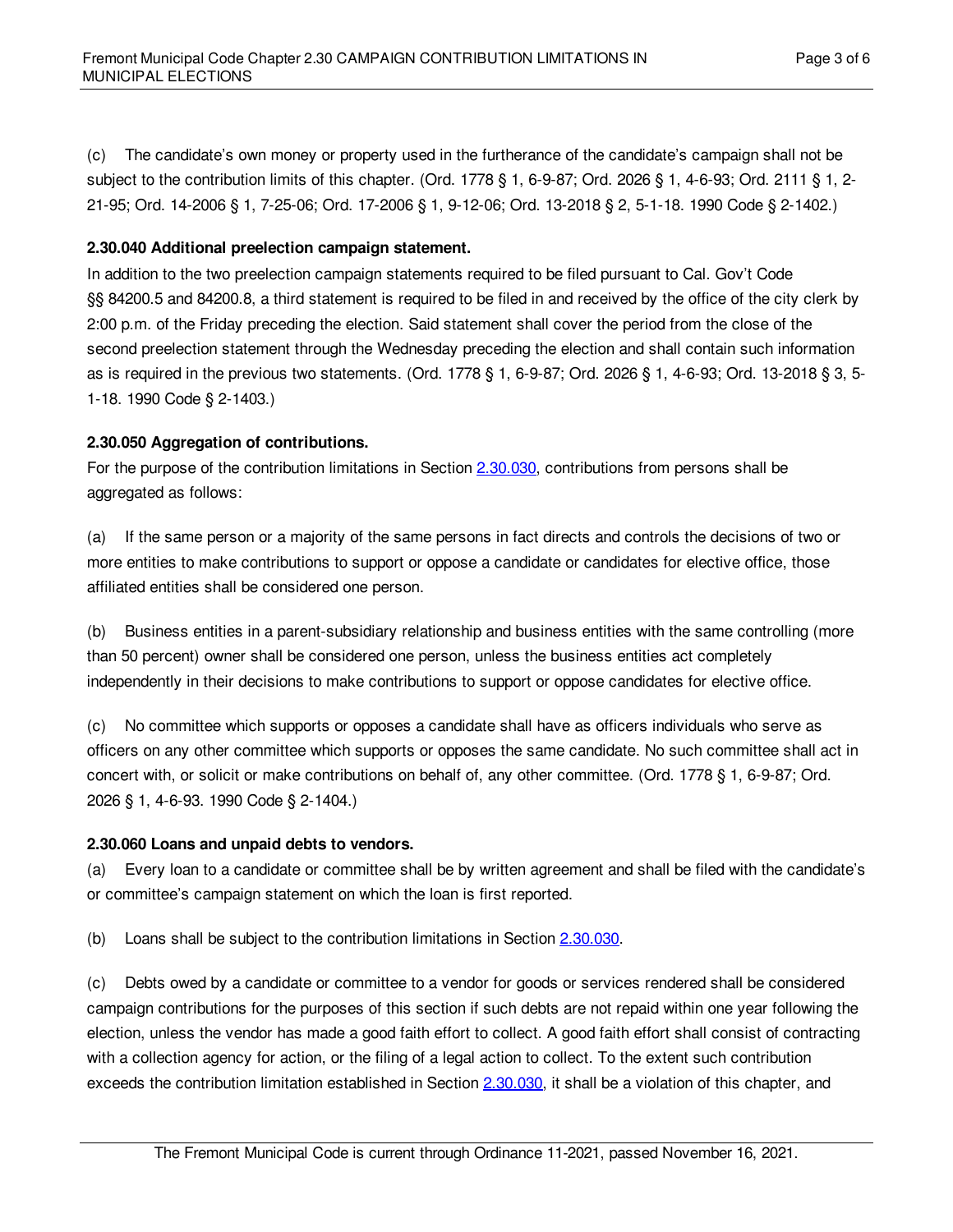(c) The candidate's own money or property used in the furtherance of the candidate's campaign shall not be subject to the contribution limits of this chapter. (Ord. 1778 § 1, 6-9-87; Ord. 2026 § 1, 4-6-93; Ord. 2111 § 1, 2- 21-95; Ord. 14-2006 § 1, 7-25-06; Ord. 17-2006 § 1, 9-12-06; Ord. 13-2018 § 2, 5-1-18. 1990 Code § 2-1402.)

#### <span id="page-2-0"></span>**2.30.040 Additional preelection campaign statement.**

In addition to the two preelection campaign statements required to be filed pursuant to Cal. Gov't Code §§ 84200.5 and 84200.8, a third statement is required to be filed in and received by the office of the city clerk by 2:00 p.m. of the Friday preceding the election. Said statement shall cover the period from the close of the second preelection statement through the Wednesday preceding the election and shall contain such information as is required in the previous two statements. (Ord. 1778 § 1, 6-9-87; Ord. 2026 § 1, 4-6-93; Ord. 13-2018 § 3, 5- 1-18. 1990 Code § 2-1403.)

#### <span id="page-2-1"></span>**2.30.050 Aggregation of contributions.**

For the purpose of the contribution limitations in Section [2.30.030](#page-1-1), contributions from persons shall be aggregated as follows:

(a) If the same person or a majority of the same persons in fact directs and controls the decisions of two or more entities to make contributions to support or oppose a candidate or candidates for elective office, those affiliated entities shall be considered one person.

(b) Business entities in a parent-subsidiary relationship and business entities with the same controlling (more than 50 percent) owner shall be considered one person, unless the business entities act completely independently in their decisions to make contributions to support or oppose candidates for elective office.

(c) No committee which supports or opposes a candidate shall have as officers individuals who serve as officers on any other committee which supports or opposes the same candidate. No such committee shall act in concert with, or solicit or make contributions on behalf of, any other committee. (Ord. 1778 § 1, 6-9-87; Ord. 2026 § 1, 4-6-93. 1990 Code § 2-1404.)

## <span id="page-2-2"></span>**2.30.060 Loans and unpaid debts to vendors.**

(a) Every loan to a candidate or committee shall be by written agreement and shall be filed with the candidate's or committee's campaign statement on which the loan is first reported.

(b) Loans shall be subject to the contribution limitations in Section  $2.30.030$ .

(c) Debts owed by a candidate or committee to a vendor for goods or services rendered shall be considered campaign contributions for the purposes of this section if such debts are not repaid within one year following the election, unless the vendor has made a good faith effort to collect. A good faith effort shall consist of contracting with a collection agency for action, or the filing of a legal action to collect. To the extent such contribution exceeds the contribution limitation established in Section [2.30.030](#page-1-1), it shall be a violation of this chapter, and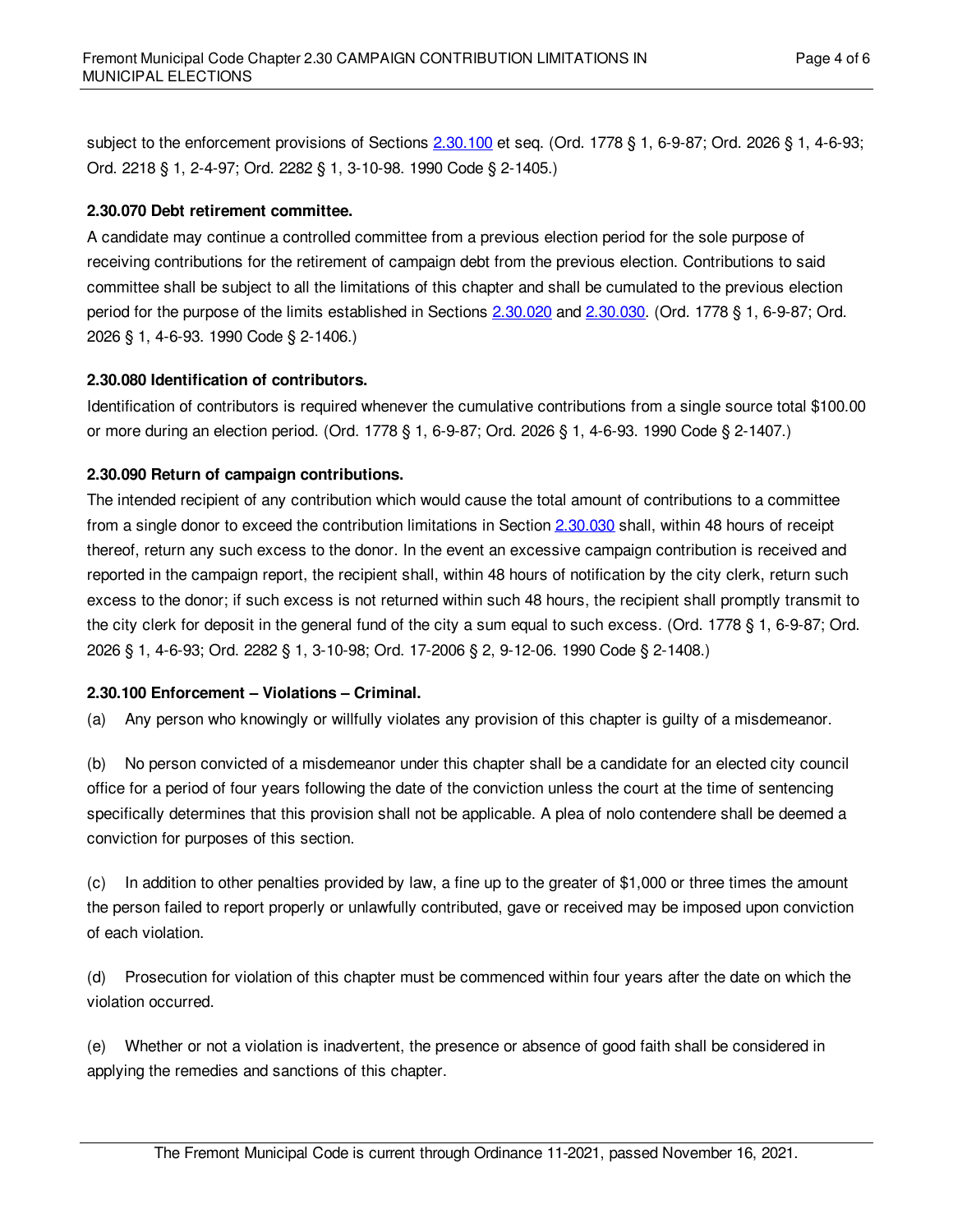subject to the enforcement provisions of Sections [2.30.100](#page-3-3) et seq. (Ord. 1778 § 1, 6-9-87; Ord. 2026 § 1, 4-6-93; Ord. 2218 § 1, 2-4-97; Ord. 2282 § 1, 3-10-98. 1990 Code § 2-1405.)

## <span id="page-3-0"></span>**2.30.070 Debt retirement committee.**

A candidate may continue a controlled committee from a previous election period for the sole purpose of receiving contributions for the retirement of campaign debt from the previous election. Contributions to said committee shall be subject to all the limitations of this chapter and shall be cumulated to the previous election period for the purpose of the limits established in Sections [2.30.020](#page-1-0) and [2.30.030](#page-1-1). (Ord. 1778 § 1, 6-9-87; Ord. 2026 § 1, 4-6-93. 1990 Code § 2-1406.)

## <span id="page-3-1"></span>**2.30.080 Identification of contributors.**

Identification of contributors is required whenever the cumulative contributions from a single source total \$100.00 or more during an election period. (Ord. 1778 § 1, 6-9-87; Ord. 2026 § 1, 4-6-93. 1990 Code § 2-1407.)

## <span id="page-3-2"></span>**2.30.090 Return of campaign contributions.**

The intended recipient of any contribution which would cause the total amount of contributions to a committee from a single donor to exceed the contribution limitations in Section [2.30.030](#page-1-1) shall, within 48 hours of receipt thereof, return any such excess to the donor. In the event an excessive campaign contribution is received and reported in the campaign report, the recipient shall, within 48 hours of notification by the city clerk, return such excess to the donor; if such excess is not returned within such 48 hours, the recipient shall promptly transmit to the city clerk for deposit in the general fund of the city a sum equal to such excess. (Ord. 1778 § 1, 6-9-87; Ord. 2026 § 1, 4-6-93; Ord. 2282 § 1, 3-10-98; Ord. 17-2006 § 2, 9-12-06. 1990 Code § 2-1408.)

## <span id="page-3-3"></span>**2.30.100 Enforcement – Violations – Criminal.**

(a) Any person who knowingly or willfully violates any provision of this chapter is guilty of a misdemeanor.

(b) No person convicted of a misdemeanor under this chapter shall be a candidate for an elected city council office for a period of four years following the date of the conviction unless the court at the time of sentencing specifically determines that this provision shall not be applicable. A plea of nolo contendere shall be deemed a conviction for purposes of this section.

(c) In addition to other penalties provided by law, a fine up to the greater of \$1,000 or three times the amount the person failed to report properly or unlawfully contributed, gave or received may be imposed upon conviction of each violation.

(d) Prosecution for violation of this chapter must be commenced within four years after the date on which the violation occurred.

(e) Whether or not a violation is inadvertent, the presence or absence of good faith shall be considered in applying the remedies and sanctions of this chapter.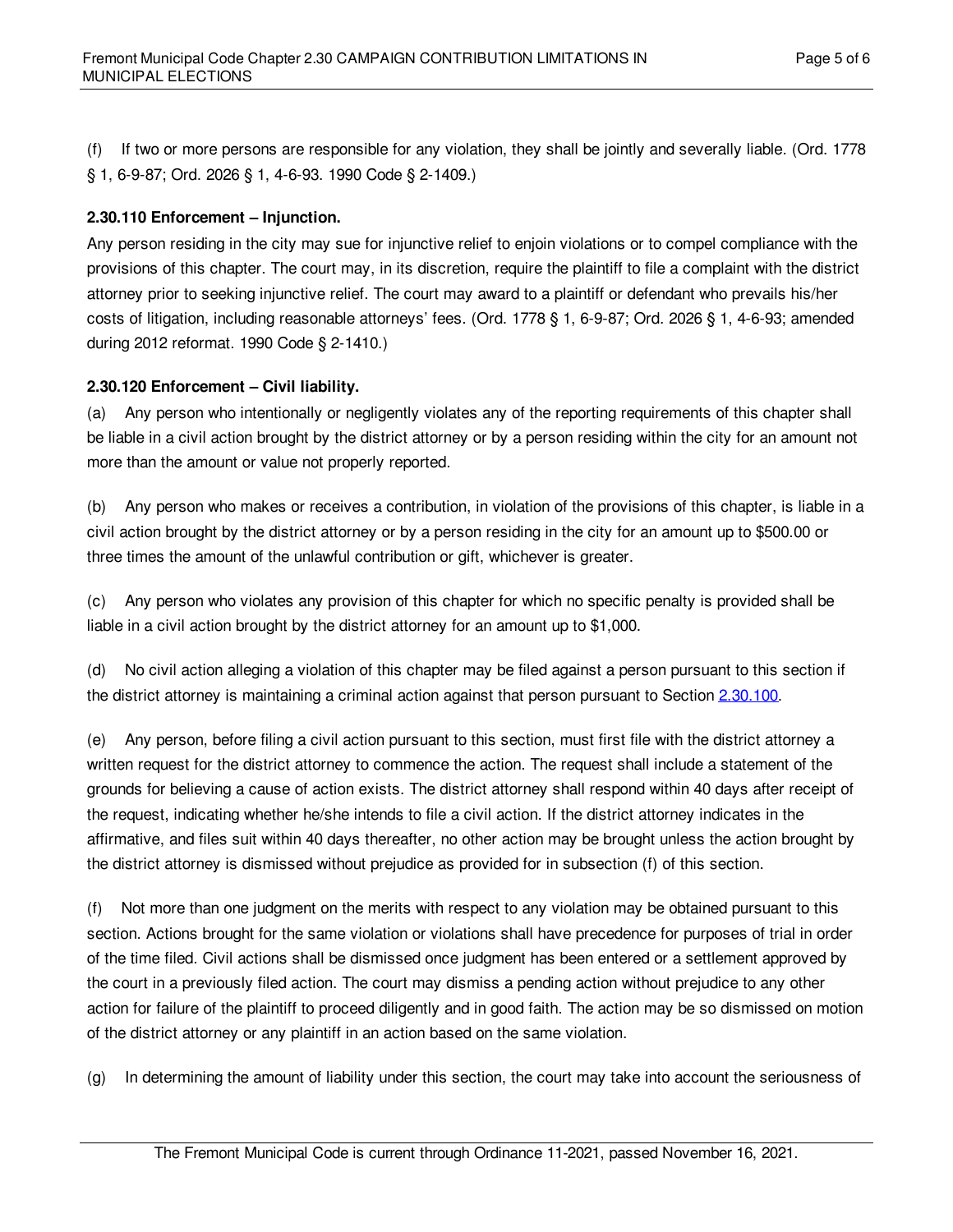(f) If two or more persons are responsible for any violation, they shall be jointly and severally liable. (Ord. 1778 § 1, 6-9-87; Ord. 2026 § 1, 4-6-93. 1990 Code § 2-1409.)

#### <span id="page-4-0"></span>**2.30.110 Enforcement – Injunction.**

Any person residing in the city may sue for injunctive relief to enjoin violations or to compel compliance with the provisions of this chapter. The court may, in its discretion, require the plaintiff to file a complaint with the district attorney prior to seeking injunctive relief. The court may award to a plaintiff or defendant who prevails his/her costs of litigation, including reasonable attorneys' fees. (Ord. 1778 § 1, 6-9-87; Ord. 2026 § 1, 4-6-93; amended during 2012 reformat. 1990 Code § 2-1410.)

#### <span id="page-4-1"></span>**2.30.120 Enforcement – Civil liability.**

(a) Any person who intentionally or negligently violates any of the reporting requirements of this chapter shall be liable in a civil action brought by the district attorney or by a person residing within the city for an amount not more than the amount or value not properly reported.

(b) Any person who makes or receives a contribution, in violation of the provisions of this chapter, is liable in a civil action brought by the district attorney or by a person residing in the city for an amount up to \$500.00 or three times the amount of the unlawful contribution or gift, whichever is greater.

(c) Any person who violates any provision of this chapter for which no specific penalty is provided shall be liable in a civil action brought by the district attorney for an amount up to \$1,000.

(d) No civil action alleging a violation of this chapter may be filed against a person pursuant to this section if the district attorney is maintaining a criminal action against that person pursuant to Section [2.30.100](#page-3-3).

(e) Any person, before filing a civil action pursuant to this section, must first file with the district attorney a written request for the district attorney to commence the action. The request shall include a statement of the grounds for believing a cause of action exists. The district attorney shall respond within 40 days after receipt of the request, indicating whether he/she intends to file a civil action. If the district attorney indicates in the affirmative, and files suit within 40 days thereafter, no other action may be brought unless the action brought by the district attorney is dismissed without prejudice as provided for in subsection (f) of this section.

(f) Not more than one judgment on the merits with respect to any violation may be obtained pursuant to this section. Actions brought for the same violation or violations shall have precedence for purposes of trial in order of the time filed. Civil actions shall be dismissed once judgment has been entered or a settlement approved by the court in a previously filed action. The court may dismiss a pending action without prejudice to any other action for failure of the plaintiff to proceed diligently and in good faith. The action may be so dismissed on motion of the district attorney or any plaintiff in an action based on the same violation.

(g) In determining the amount of liability under this section, the court may take into account the seriousness of